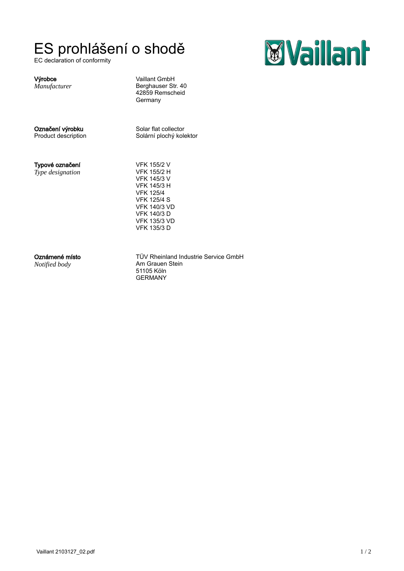EC declaration of conformity

## ES prohlášení o shodě<br>EC declaration of conformity

Výrobce van die van die Vaillant GmbH Berghauser Str. 40 42859 Remscheid **Germany** 

*Manufacturer*

Označení výrobku Solar flat collector Product description Solární plochý kolektor

Typové označení

*Type designation*

VFK 155/2 V VFK 155/2 H VFK 145/3 V VFK 145/3 H VFK 125/4 VFK 125/4 S VFK 140/3 VD VFK 140/3 D VFK 135/3 VD VFK 135/3 D

*Notified body*

**Oznámené místo** entertávior de TÜV Rheinland Industrie Service GmbH Am Grauen Stein 51105 Köln GERMANY